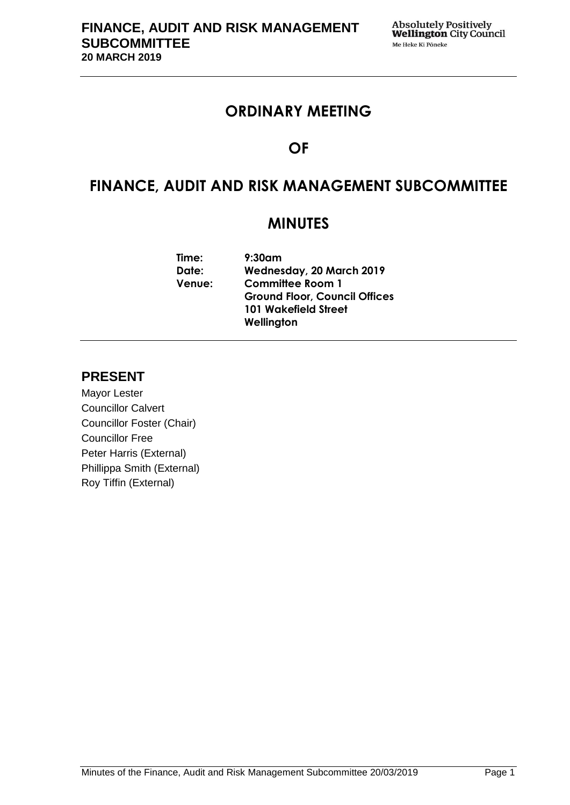## **ORDINARY MEETING**

# **OF**

# **FINANCE, AUDIT AND RISK MANAGEMENT SUBCOMMITTEE**

## **MINUTES**

| Time:         | $9:30$ am                            |
|---------------|--------------------------------------|
| Date:         | Wednesday, 20 March 2019             |
| <b>Venue:</b> | <b>Committee Room 1</b>              |
|               | <b>Ground Floor, Council Offices</b> |
|               | <b>101 Wakefield Street</b>          |
|               | Wellington                           |
|               |                                      |

## **PRESENT**

Mayor Lester Councillor Calvert Councillor Foster (Chair) Councillor Free Peter Harris (External) Phillippa Smith (External) Roy Tiffin (External)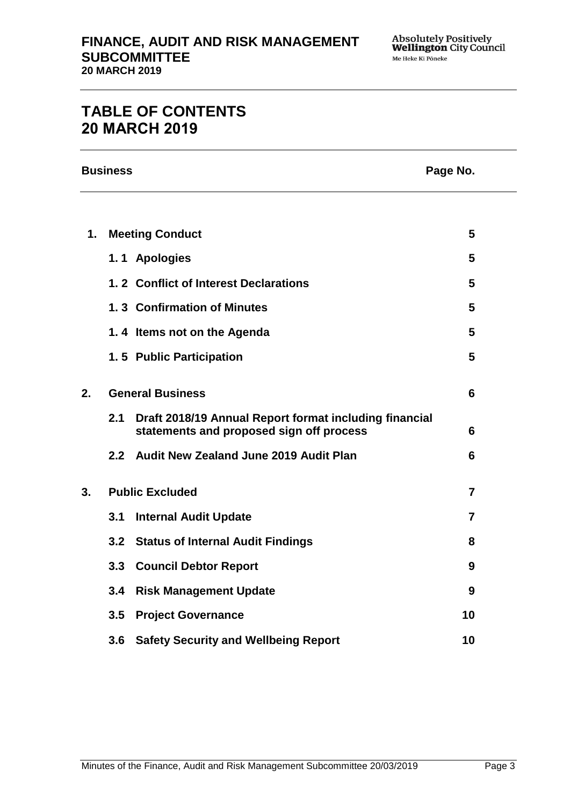# **TABLE OF CONTENTS 20 MARCH 2019**

|               | <b>Business</b><br>Page No. |                                                                                                    |    |
|---------------|-----------------------------|----------------------------------------------------------------------------------------------------|----|
|               |                             |                                                                                                    |    |
| $\mathbf 1$ . |                             | <b>Meeting Conduct</b>                                                                             | 5  |
|               |                             | 1.1 Apologies                                                                                      | 5  |
|               |                             | 1.2 Conflict of Interest Declarations                                                              | 5  |
|               |                             | 1.3 Confirmation of Minutes                                                                        | 5  |
|               |                             | 1.4 Items not on the Agenda                                                                        | 5  |
|               |                             | 1.5 Public Participation                                                                           | 5  |
| 2.            |                             | <b>General Business</b>                                                                            | 6  |
|               | 2.1                         | Draft 2018/19 Annual Report format including financial<br>statements and proposed sign off process | 6  |
|               | 2.2                         | Audit New Zealand June 2019 Audit Plan                                                             | 6  |
| 3.            |                             | <b>Public Excluded</b>                                                                             | 7  |
|               | 3.1                         | <b>Internal Audit Update</b>                                                                       | 7  |
|               | 3.2                         | <b>Status of Internal Audit Findings</b>                                                           | 8  |
|               | 3.3                         | <b>Council Debtor Report</b>                                                                       | 9  |
|               | 3.4                         | <b>Risk Management Update</b>                                                                      | 9  |
|               | 3.5                         | <b>Project Governance</b>                                                                          | 10 |
|               | 3.6                         | <b>Safety Security and Wellbeing Report</b>                                                        | 10 |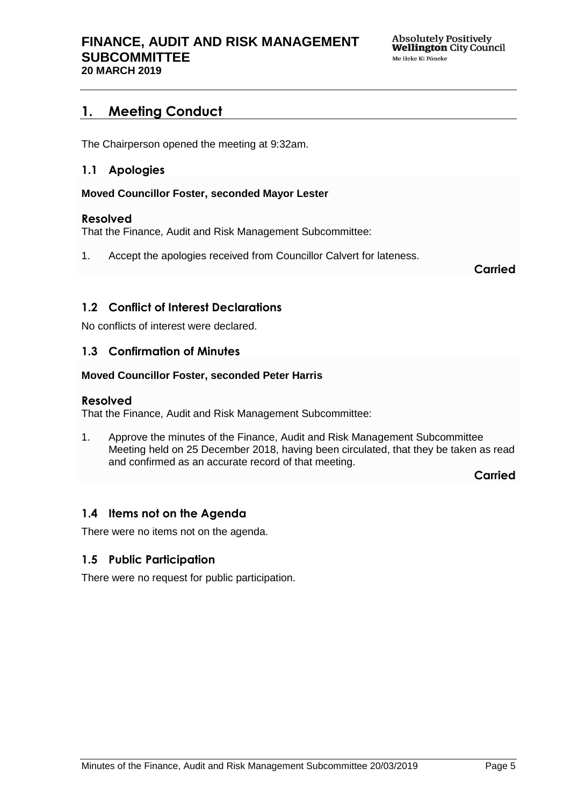## <span id="page-4-0"></span>**1. Meeting Conduct**

The Chairperson opened the meeting at 9:32am.

### <span id="page-4-1"></span>**1.1 Apologies**

#### **Moved Councillor Foster, seconded Mayor Lester**

#### **Resolved**

That the Finance, Audit and Risk Management Subcommittee:

1. Accept the apologies received from Councillor Calvert for lateness.

**Carried**

## <span id="page-4-2"></span>**1.2 Conflict of Interest Declarations**

No conflicts of interest were declared.

#### <span id="page-4-3"></span>**1.3 Confirmation of Minutes**

#### **Moved Councillor Foster, seconded Peter Harris**

#### **Resolved**

That the Finance, Audit and Risk Management Subcommittee:

1. Approve the minutes of the Finance, Audit and Risk Management Subcommittee Meeting held on 25 December 2018, having been circulated, that they be taken as read and confirmed as an accurate record of that meeting.

**Carried**

## <span id="page-4-4"></span>**1.4 Items not on the Agenda**

There were no items not on the agenda.

## **1.5 Public Participation**

There were no request for public participation.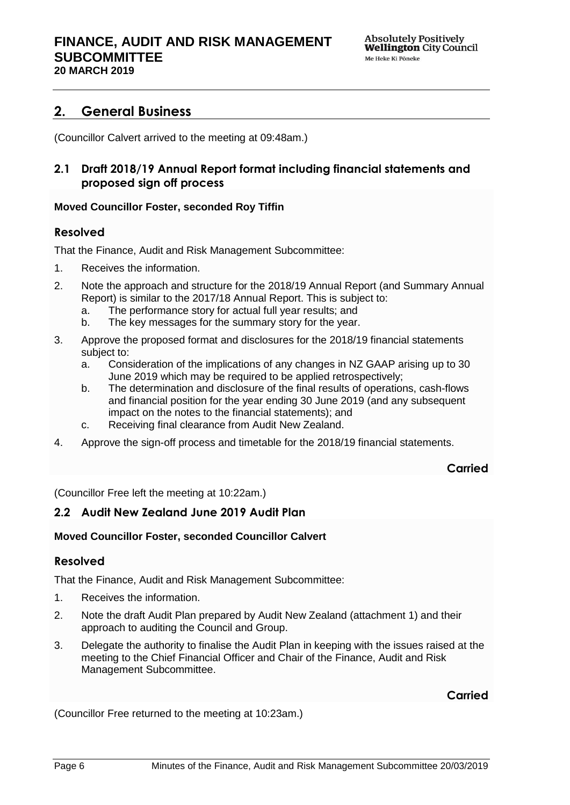## <span id="page-5-0"></span>**2. General Business**

(Councillor Calvert arrived to the meeting at 09:48am.)

## <span id="page-5-1"></span>**2.1 Draft 2018/19 Annual Report format including financial statements and proposed sign off process**

#### **Moved Councillor Foster, seconded Roy Tiffin**

### **Resolved**

That the Finance, Audit and Risk Management Subcommittee:

- 1. Receives the information.
- 2. Note the approach and structure for the 2018/19 Annual Report (and Summary Annual Report) is similar to the 2017/18 Annual Report. This is subject to:
	- a. The performance story for actual full year results; and
	- b. The key messages for the summary story for the year.
- 3. Approve the proposed format and disclosures for the 2018/19 financial statements subject to:
	- a. Consideration of the implications of any changes in NZ GAAP arising up to 30 June 2019 which may be required to be applied retrospectively;
	- b. The determination and disclosure of the final results of operations, cash-flows and financial position for the year ending 30 June 2019 (and any subsequent impact on the notes to the financial statements); and
	- c. Receiving final clearance from Audit New Zealand.
- 4. Approve the sign-off process and timetable for the 2018/19 financial statements.

#### **Carried**

(Councillor Free left the meeting at 10:22am.)

#### <span id="page-5-2"></span>**2.2 Audit New Zealand June 2019 Audit Plan**

#### **Moved Councillor Foster, seconded Councillor Calvert**

#### **Resolved**

That the Finance, Audit and Risk Management Subcommittee:

- 1. Receives the information.
- 2. Note the draft Audit Plan prepared by Audit New Zealand (attachment 1) and their approach to auditing the Council and Group.
- 3. Delegate the authority to finalise the Audit Plan in keeping with the issues raised at the meeting to the Chief Financial Officer and Chair of the Finance, Audit and Risk Management Subcommittee.

## **Carried**

(Councillor Free returned to the meeting at 10:23am.)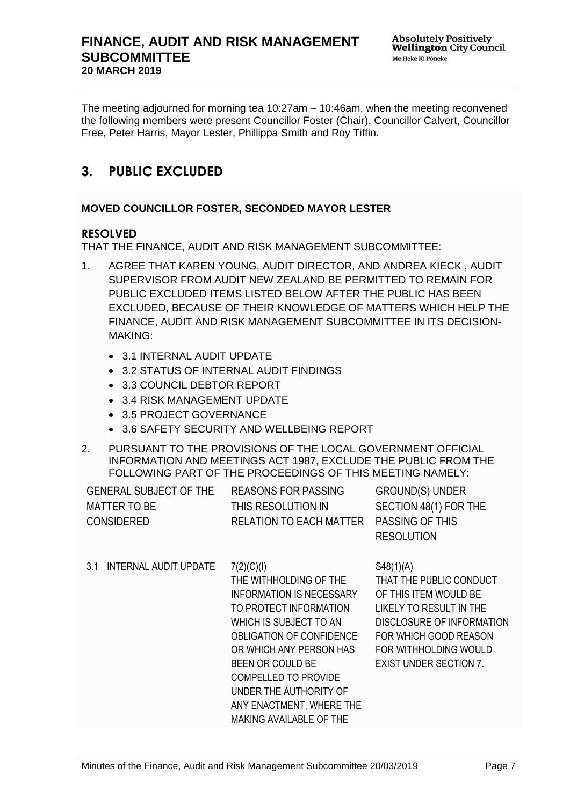The meeting adjourned for morning tea 10:27am – 10:46am, when the meeting reconvened the following members were present Councillor Foster (Chair), Councillor Calvert, Councillor Free, Peter Harris, Mayor Lester, Phillippa Smith and Roy Tiffin.

## <span id="page-6-0"></span>**3. PUBLIC EXCLUDED**

## **MOVED COUNCILLOR FOSTER, SECONDED MAYOR LESTER**

### **RESOLVED**

THAT THE FINANCE, AUDIT AND RISK MANAGEMENT SUBCOMMITTEE:

- 1. AGREE THAT KAREN YOUNG, AUDIT DIRECTOR, AND ANDREA KIECK , AUDIT SUPERVISOR FROM AUDIT NEW ZEALAND BE PERMITTED TO REMAIN FOR PUBLIC EXCLUDED ITEMS LISTED BELOW AFTER THE PUBLIC HAS BEEN EXCLUDED, BECAUSE OF THEIR KNOWLEDGE OF MATTERS WHICH HELP THE FINANCE, AUDIT AND RISK MANAGEMENT SUBCOMMITTEE IN ITS DECISION-MAKING:
	- 3.1 INTERNAL AUDIT UPDATE
	- 3.2 STATUS OF INTERNAL AUDIT FINDINGS
	- 3.3 COUNCIL DEBTOR REPORT
	- 3.4 RISK MANAGEMENT UPDATE
	- 3.5 PROJECT GOVERNANCE
	- 3.6 SAFETY SECURITY AND WELLBEING REPORT
- 2. PURSUANT TO THE PROVISIONS OF THE LOCAL GOVERNMENT OFFICIAL INFORMATION AND MEETINGS ACT 1987, EXCLUDE THE PUBLIC FROM THE FOLLOWING PART OF THE PROCEEDINGS OF THIS MEETING NAMELY:

| <b>GENERAL SUBJECT OF THE</b> | REASONS FOR PASSING                     | <b>GROUND(S) UNDER</b> |
|-------------------------------|-----------------------------------------|------------------------|
| MATTER TO BE                  | THIS RESOLUTION IN                      | SECTION 48(1) FOR THE  |
| <b>CONSIDERED</b>             | RELATION TO EACH MATTER PASSING OF THIS |                        |
|                               |                                         | <b>RESOLUTION</b>      |

<span id="page-6-1"></span>3.1 INTERNAL AUDIT UPDATE 7(2)(C)(I) THE WITHHOLDING OF THE INFORMATION IS NECESSARY TO PROTECT INFORMATION WHICH IS SUBJECT TO AN OBLIGATION OF CONFIDENCE OR WHICH ANY PERSON HAS BEEN OR COULD BE COMPELLED TO PROVIDE UNDER THE AUTHORITY OF ANY ENACTMENT, WHERE THE MAKING AVAILABLE OF THE S48(1)(A) THAT THE PUBLIC CONDUCT OF THIS ITEM WOULD BE LIKELY TO RESULT IN THE DISCLOSURE OF INFORMATION FOR WHICH GOOD REASON FOR WITHHOLDING WOULD EXIST UNDER SECTION 7.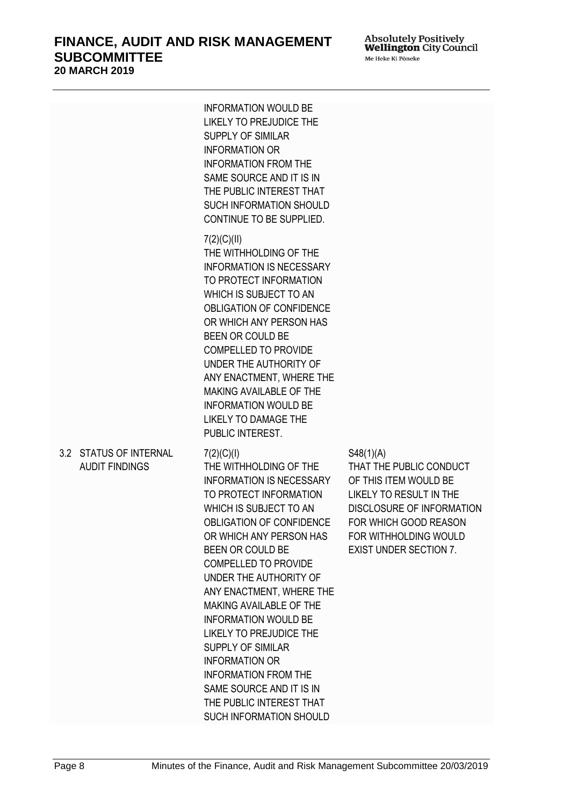Absolutely Positively<br>**Wellington** City Council Me Heke Ki Põneke

<span id="page-7-0"></span>

|                                                 | <b>INFORMATION WOULD BE</b><br>LIKELY TO PREJUDICE THE<br><b>SUPPLY OF SIMILAR</b><br><b>INFORMATION OR</b><br><b>INFORMATION FROM THE</b><br>SAME SOURCE AND IT IS IN<br>THE PUBLIC INTEREST THAT<br><b>SUCH INFORMATION SHOULD</b><br>CONTINUE TO BE SUPPLIED.                                                                                                                                                                                                                                                                                                      |                                                                                                                                                                                                                        |
|-------------------------------------------------|-----------------------------------------------------------------------------------------------------------------------------------------------------------------------------------------------------------------------------------------------------------------------------------------------------------------------------------------------------------------------------------------------------------------------------------------------------------------------------------------------------------------------------------------------------------------------|------------------------------------------------------------------------------------------------------------------------------------------------------------------------------------------------------------------------|
|                                                 | 7(2)(C)(II)<br>THE WITHHOLDING OF THE<br><b>INFORMATION IS NECESSARY</b><br>TO PROTECT INFORMATION<br>WHICH IS SUBJECT TO AN<br>OBLIGATION OF CONFIDENCE<br>OR WHICH ANY PERSON HAS<br>BEEN OR COULD BE<br><b>COMPELLED TO PROVIDE</b><br>UNDER THE AUTHORITY OF<br>ANY ENACTMENT, WHERE THE<br>MAKING AVAILABLE OF THE<br><b>INFORMATION WOULD BE</b><br><b>LIKELY TO DAMAGE THE</b><br>PUBLIC INTEREST.                                                                                                                                                             |                                                                                                                                                                                                                        |
| 3.2 STATUS OF INTERNAL<br><b>AUDIT FINDINGS</b> | 7(2)(C)(I)<br>THE WITHHOLDING OF THE<br><b>INFORMATION IS NECESSARY</b><br>TO PROTECT INFORMATION<br>WHICH IS SUBJECT TO AN<br><b>OBLIGATION OF CONFIDENCE</b><br>OR WHICH ANY PERSON HAS<br>BEEN OR COULD BE<br><b>COMPELLED TO PROVIDE</b><br>UNDER THE AUTHORITY OF<br>ANY ENACTMENT, WHERE THE<br>MAKING AVAILABLE OF THE<br><b>INFORMATION WOULD BE</b><br>LIKELY TO PREJUDICE THE<br><b>SUPPLY OF SIMILAR</b><br><b>INFORMATION OR</b><br><b>INFORMATION FROM THE</b><br>SAME SOURCE AND IT IS IN<br>THE PUBLIC INTEREST THAT<br><b>SUCH INFORMATION SHOULD</b> | S48(1)(A)<br>THAT THE PUBLIC CONDUCT<br>OF THIS ITEM WOULD BE<br><b>LIKELY TO RESULT IN THE</b><br><b>DISCLOSURE OF INFORMATION</b><br>FOR WHICH GOOD REASON<br>FOR WITHHOLDING WOULD<br><b>EXIST UNDER SECTION 7.</b> |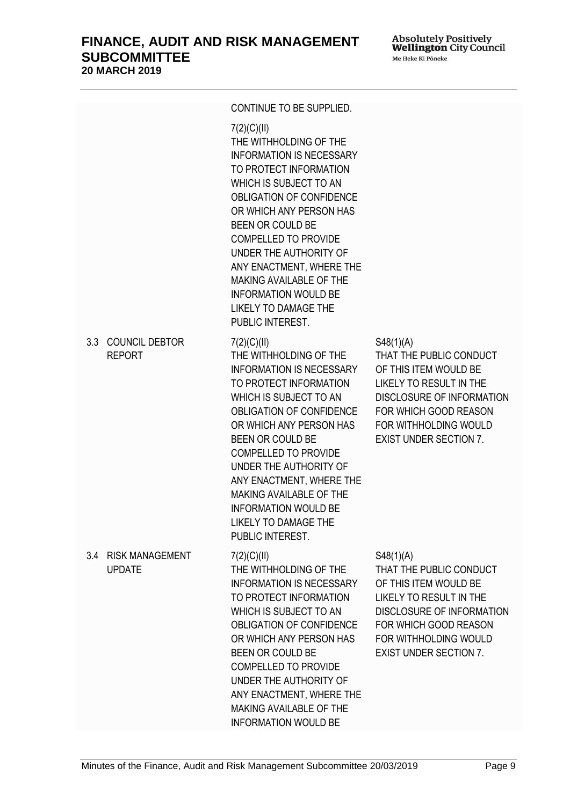| <b>FINANCE, AUDIT AND RISK MANAGEMENT</b> |
|-------------------------------------------|
| <b>SUBCOMMITTEE</b>                       |
| <b>20 MARCH 2019</b>                      |

<span id="page-8-1"></span><span id="page-8-0"></span>

|     |                                         | CONTINUE TO BE SUPPLIED.                                                                                                                                                                                                                                                                                                                                                                                         |                                                                                                                                                                                                                        |
|-----|-----------------------------------------|------------------------------------------------------------------------------------------------------------------------------------------------------------------------------------------------------------------------------------------------------------------------------------------------------------------------------------------------------------------------------------------------------------------|------------------------------------------------------------------------------------------------------------------------------------------------------------------------------------------------------------------------|
|     |                                         | 7(2)(C)(II)<br>THE WITHHOLDING OF THE<br><b>INFORMATION IS NECESSARY</b><br>TO PROTECT INFORMATION<br>WHICH IS SUBJECT TO AN<br>OBLIGATION OF CONFIDENCE<br>OR WHICH ANY PERSON HAS<br>BEEN OR COULD BE<br><b>COMPELLED TO PROVIDE</b><br>UNDER THE AUTHORITY OF<br>ANY ENACTMENT, WHERE THE<br><b>MAKING AVAILABLE OF THE</b><br><b>INFORMATION WOULD BE</b><br><b>LIKELY TO DAMAGE THE</b><br>PUBLIC INTEREST. |                                                                                                                                                                                                                        |
|     | 3.3 COUNCIL DEBTOR<br><b>REPORT</b>     | 7(2)(C)(II)<br>THE WITHHOLDING OF THE<br><b>INFORMATION IS NECESSARY</b><br>TO PROTECT INFORMATION<br>WHICH IS SUBJECT TO AN<br>OBLIGATION OF CONFIDENCE<br>OR WHICH ANY PERSON HAS<br>BEEN OR COULD BE<br><b>COMPELLED TO PROVIDE</b><br>UNDER THE AUTHORITY OF<br>ANY ENACTMENT, WHERE THE<br><b>MAKING AVAILABLE OF THE</b><br><b>INFORMATION WOULD BE</b><br><b>LIKELY TO DAMAGE THE</b><br>PUBLIC INTEREST. | S48(1)(A)<br>THAT THE PUBLIC CONDUCT<br>OF THIS ITEM WOULD BE<br><b>LIKELY TO RESULT IN THE</b><br>DISCLOSURE OF INFORMATION<br>FOR WHICH GOOD REASON<br>FOR WITHHOLDING WOULD<br><b>EXIST UNDER SECTION 7.</b>        |
| 3.4 | <b>RISK MANAGEMENT</b><br><b>UPDATE</b> | 7(2)(C)(II)<br>THE WITHHOLDING OF THE<br><b>INFORMATION IS NECESSARY</b><br>TO PROTECT INFORMATION<br>WHICH IS SUBJECT TO AN<br><b>OBLIGATION OF CONFIDENCE</b><br>OR WHICH ANY PERSON HAS<br><b>BEEN OR COULD BE</b><br><b>COMPELLED TO PROVIDE</b><br>UNDER THE AUTHORITY OF<br>ANY ENACTMENT, WHERE THE<br><b>MAKING AVAILABLE OF THE</b><br><b>INFORMATION WOULD BE</b>                                      | S48(1)(A)<br>THAT THE PUBLIC CONDUCT<br>OF THIS ITEM WOULD BE<br><b>LIKELY TO RESULT IN THE</b><br><b>DISCLOSURE OF INFORMATION</b><br>FOR WHICH GOOD REASON<br>FOR WITHHOLDING WOULD<br><b>EXIST UNDER SECTION 7.</b> |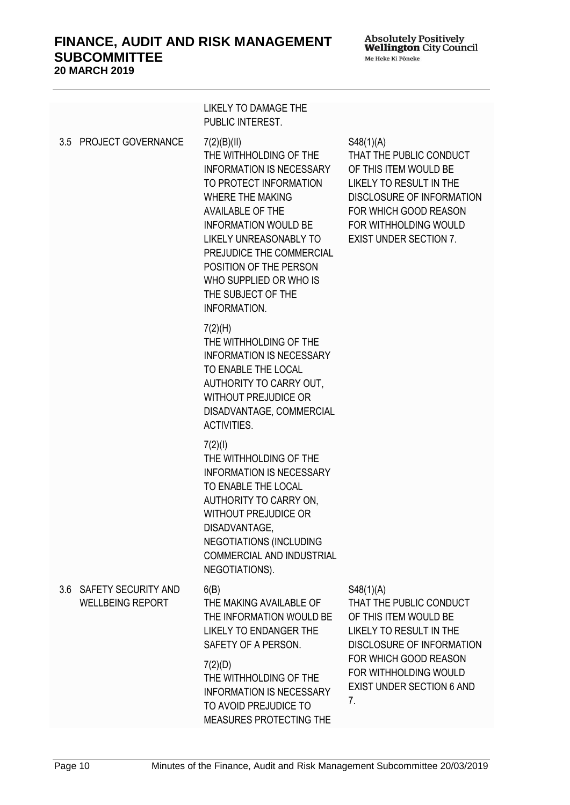Absolutely Positively<br>**Wellington** City Council Me Heke Ki Põneke

<span id="page-9-1"></span><span id="page-9-0"></span>

|                                                    | <b>LIKELY TO DAMAGE THE</b><br>PUBLIC INTEREST.                                                                                                                                                                                                                                                                                  |                                                                                                                                                                                                                                 |
|----------------------------------------------------|----------------------------------------------------------------------------------------------------------------------------------------------------------------------------------------------------------------------------------------------------------------------------------------------------------------------------------|---------------------------------------------------------------------------------------------------------------------------------------------------------------------------------------------------------------------------------|
| 3.5 PROJECT GOVERNANCE                             | 7(2)(B)(II)<br>THE WITHHOLDING OF THE<br><b>INFORMATION IS NECESSARY</b><br>TO PROTECT INFORMATION<br><b>WHERE THE MAKING</b><br>AVAILABLE OF THE<br>INFORMATION WOULD BE<br>LIKELY UNREASONABLY TO<br>PREJUDICE THE COMMERCIAL<br>POSITION OF THE PERSON<br>WHO SUPPLIED OR WHO IS<br>THE SUBJECT OF THE<br><b>INFORMATION.</b> | S48(1)(A)<br>THAT THE PUBLIC CONDUCT<br>OF THIS ITEM WOULD BE<br><b>LIKELY TO RESULT IN THE</b><br><b>DISCLOSURE OF INFORMATION</b><br>FOR WHICH GOOD REASON<br>FOR WITHHOLDING WOULD<br><b>EXIST UNDER SECTION 7.</b>          |
|                                                    | 7(2)(H)<br>THE WITHHOLDING OF THE<br><b>INFORMATION IS NECESSARY</b><br>TO ENABLE THE LOCAL<br>AUTHORITY TO CARRY OUT,<br><b>WITHOUT PREJUDICE OR</b><br>DISADVANTAGE, COMMERCIAL<br><b>ACTIVITIES.</b>                                                                                                                          |                                                                                                                                                                                                                                 |
|                                                    | 7(2)(1)<br>THE WITHHOLDING OF THE<br><b>INFORMATION IS NECESSARY</b><br>TO ENABLE THE LOCAL<br>AUTHORITY TO CARRY ON,<br><b>WITHOUT PREJUDICE OR</b><br>DISADVANTAGE.<br><b>NEGOTIATIONS (INCLUDING</b><br><b>COMMERCIAL AND INDUSTRIAL</b><br>NEGOTIATIONS).                                                                    |                                                                                                                                                                                                                                 |
| 3.6 SAFETY SECURITY AND<br><b>WELLBEING REPORT</b> | 6(B)<br>THE MAKING AVAILABLE OF<br>THE INFORMATION WOULD BE<br>LIKELY TO ENDANGER THE<br>SAFETY OF A PERSON.                                                                                                                                                                                                                     | S48(1)(A)<br>THAT THE PUBLIC CONDUCT<br>OF THIS ITEM WOULD BE<br><b>LIKELY TO RESULT IN THE</b><br><b>DISCLOSURE OF INFORMATION</b><br>FOR WHICH GOOD REASON<br>FOR WITHHOLDING WOULD<br><b>EXIST UNDER SECTION 6 AND</b><br>7. |
|                                                    | 7(2)(D)<br>THE WITHHOLDING OF THE<br><b>INFORMATION IS NECESSARY</b><br>TO AVOID PREJUDICE TO<br>MEASURES PROTECTING THE                                                                                                                                                                                                         |                                                                                                                                                                                                                                 |